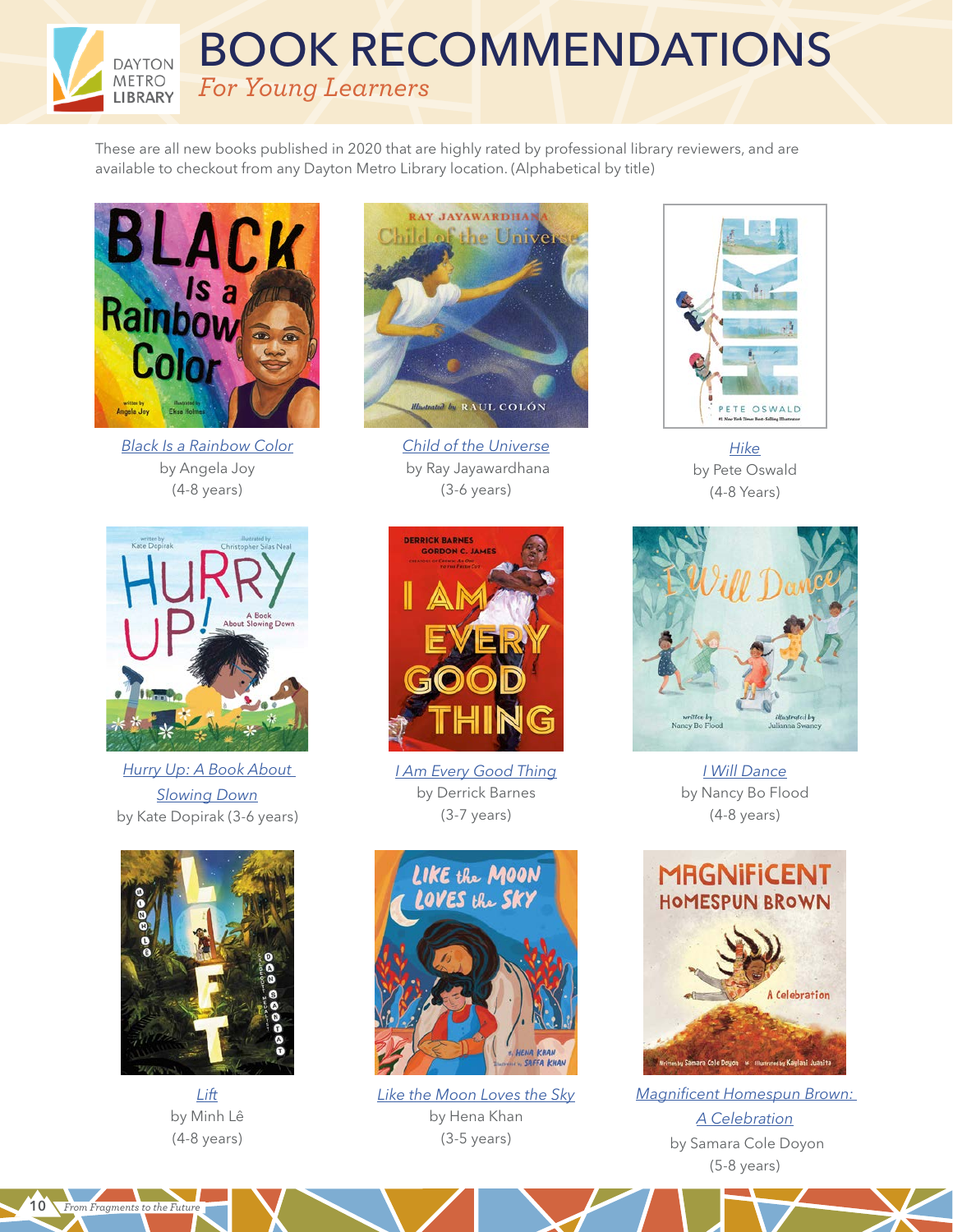These are all new books published in 2020 that are highly rated by professional library reviewers, and are available to checkout from any Dayton Metro Library location. (Alphabetical by title)

BOOK RECOMMENDATIONS

*For Young Learners*



**DAYTON METRO** LIBRARY

*[Black Is a Rainbow Color](https://www.amazon.com/Black-Rainbow-Color-Angela-Joy/dp/1626726310)* by Angela Joy (4-8 years)



*[Child of the Universe](https://www.amazon.com/Child-Universe-Ray-Jayawardhana/dp/1524717541)* by Ray Jayawardhana (3-6 years)



*[Hike](https://www.amazon.com/Hike-Pete-Oswald/dp/153620157X)* by Pete Oswald (4-8 Years)



*[Hurry Up: A Book About](https://www.amazon.com/Hurry-Up-Book-About-Slowing/dp/1534424970)  [Slowing Down](https://www.amazon.com/Hurry-Up-Book-About-Slowing/dp/1534424970)* by Kate Dopirak (3-6 years)



*[Lift](https://www.amazon.com/Lift-Minh-L%C3%AA/dp/1368036929)* by Minh Lê (4-8 years)

*From Fragments to the Future* 10



*[I Am Every Good Thing](https://www.amazon.com/I-Am-Every-Good-Thing/dp/0525518770)* by Derrick Barnes (3-7 years)



*[Like the Moon Loves the Sky](https://www.amazon.com/Like-Moon-Loves-Sky-Read-Aloud/dp/1452180199)* by Hena Khan (3-5 years)



*[I Will Dance](https://www.amazon.com/Will-Dance-Nancy-Bo-Flood/dp/153443061X)* by Nancy Bo Flood (4-8 years)



*[Magnificent Homespun Brown:](https://www.amazon.com/Magnificent-Homespun-Brown-Samara-Doyon/dp/0884487970)  [A Celebration](https://www.amazon.com/Magnificent-Homespun-Brown-Samara-Doyon/dp/0884487970)* by Samara Cole Doyon (5-8 years)